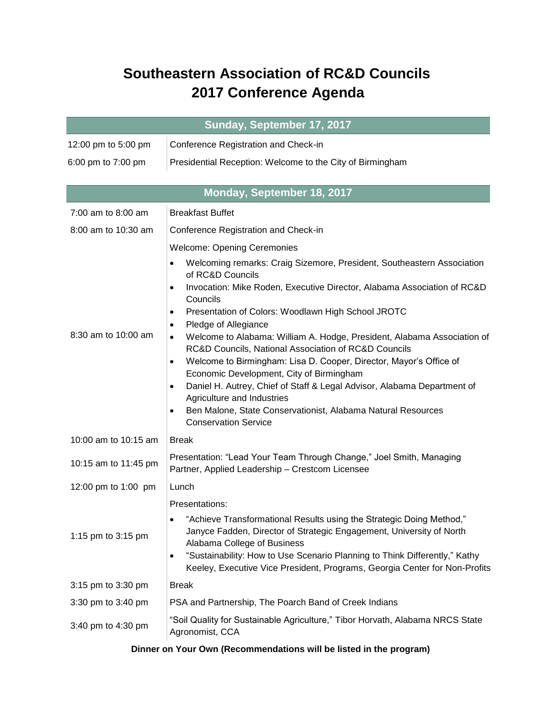## **Southeastern Association of RC&D Councils 2017 Conference Agenda**

| Sunday, September 17, 2017 |                                                                                                                                                                                                                                                                                                                                                                                                                                                                                                                                                                                                                                                                                                                                                                                                                                                                            |  |
|----------------------------|----------------------------------------------------------------------------------------------------------------------------------------------------------------------------------------------------------------------------------------------------------------------------------------------------------------------------------------------------------------------------------------------------------------------------------------------------------------------------------------------------------------------------------------------------------------------------------------------------------------------------------------------------------------------------------------------------------------------------------------------------------------------------------------------------------------------------------------------------------------------------|--|
| 12:00 pm to 5:00 pm        | Conference Registration and Check-in                                                                                                                                                                                                                                                                                                                                                                                                                                                                                                                                                                                                                                                                                                                                                                                                                                       |  |
| 6:00 pm to 7:00 pm         | Presidential Reception: Welcome to the City of Birmingham                                                                                                                                                                                                                                                                                                                                                                                                                                                                                                                                                                                                                                                                                                                                                                                                                  |  |
|                            |                                                                                                                                                                                                                                                                                                                                                                                                                                                                                                                                                                                                                                                                                                                                                                                                                                                                            |  |
| Monday, September 18, 2017 |                                                                                                                                                                                                                                                                                                                                                                                                                                                                                                                                                                                                                                                                                                                                                                                                                                                                            |  |
| $7:00$ am to 8:00 am       | <b>Breakfast Buffet</b>                                                                                                                                                                                                                                                                                                                                                                                                                                                                                                                                                                                                                                                                                                                                                                                                                                                    |  |
| 8:00 am to 10:30 am        | Conference Registration and Check-in                                                                                                                                                                                                                                                                                                                                                                                                                                                                                                                                                                                                                                                                                                                                                                                                                                       |  |
| 8:30 am to 10:00 am        | <b>Welcome: Opening Ceremonies</b><br>Welcoming remarks: Craig Sizemore, President, Southeastern Association<br>$\bullet$<br>of RC&D Councils<br>Invocation: Mike Roden, Executive Director, Alabama Association of RC&D<br>$\bullet$<br>Councils<br>Presentation of Colors: Woodlawn High School JROTC<br>$\bullet$<br>Pledge of Allegiance<br>$\bullet$<br>Welcome to Alabama: William A. Hodge, President, Alabama Association of<br>$\bullet$<br>RC&D Councils, National Association of RC&D Councils<br>Welcome to Birmingham: Lisa D. Cooper, Director, Mayor's Office of<br>$\bullet$<br>Economic Development, City of Birmingham<br>Daniel H. Autrey, Chief of Staff & Legal Advisor, Alabama Department of<br>$\bullet$<br>Agriculture and Industries<br>Ben Malone, State Conservationist, Alabama Natural Resources<br>$\bullet$<br><b>Conservation Service</b> |  |
| 10:00 am to 10:15 am       | <b>Break</b>                                                                                                                                                                                                                                                                                                                                                                                                                                                                                                                                                                                                                                                                                                                                                                                                                                                               |  |
| 10:15 am to 11:45 pm       | Presentation: "Lead Your Team Through Change," Joel Smith, Managing<br>Partner, Applied Leadership - Crestcom Licensee                                                                                                                                                                                                                                                                                                                                                                                                                                                                                                                                                                                                                                                                                                                                                     |  |
| 12:00 pm to 1:00 pm        | Lunch                                                                                                                                                                                                                                                                                                                                                                                                                                                                                                                                                                                                                                                                                                                                                                                                                                                                      |  |
| 1:15 pm to 3:15 pm         | Presentations:<br>"Achieve Transformational Results using the Strategic Doing Method,"<br>$\bullet$<br>Janyce Fadden, Director of Strategic Engagement, University of North<br>Alabama College of Business<br>"Sustainability: How to Use Scenario Planning to Think Differently," Kathy<br>$\bullet$<br>Keeley, Executive Vice President, Programs, Georgia Center for Non-Profits                                                                                                                                                                                                                                                                                                                                                                                                                                                                                        |  |
| 3:15 pm to 3:30 pm         | <b>Break</b>                                                                                                                                                                                                                                                                                                                                                                                                                                                                                                                                                                                                                                                                                                                                                                                                                                                               |  |
| 3:30 pm to 3:40 pm         | PSA and Partnership, The Poarch Band of Creek Indians                                                                                                                                                                                                                                                                                                                                                                                                                                                                                                                                                                                                                                                                                                                                                                                                                      |  |
| 3:40 pm to 4:30 pm         | "Soil Quality for Sustainable Agriculture," Tibor Horvath, Alabama NRCS State<br>Agronomist, CCA                                                                                                                                                                                                                                                                                                                                                                                                                                                                                                                                                                                                                                                                                                                                                                           |  |

## **Dinner on Your Own (Recommendations will be listed in the program)**